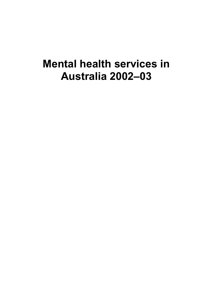# **Mental health services in Australia 2002–03**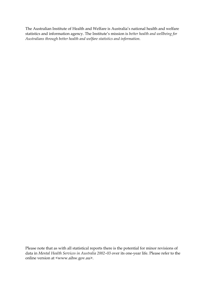The Australian Institute of Health and Welfare is Australia's national health and welfare statistics and information agency. The Institute's mission is *better health and wellbeing for Australians through better health and welfare statistics and information*.

Please note that as with all statistical reports there is the potential for minor revisions of data in *Mental Health Services in Australia 2002–03* over its one-year life. Please refer to the online version at <www.aihw.gov.au>.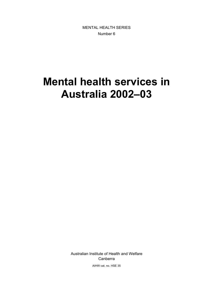MENTAL HEALTH SERIES Number 6

# **Mental health services in Australia 2002–03**

Australian Institute of Health and Welfare Canberra

AIHW cat. no. HSE 35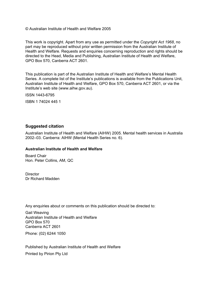© Australian Institute of Health and Welfare 2005

This work is copyright. Apart from any use as permitted under the *Copyright Act 1968*, no part may be reproduced without prior written permission from the Australian Institute of Health and Welfare. Requests and enquiries concerning reproduction and rights should be directed to the Head, Media and Publishing, Australian Institute of Health and Welfare, GPO Box 570, Canberra ACT 2601.

This publication is part of the Australian Institute of Health and Welfare's Mental Health Series. A complete list of the Institute's publications is available from the Publications Unit, Australian Institute of Health and Welfare, GPO Box 570, Canberra ACT 2601, or via the Institute's web site (www.aihw.gov.au).

ISSN 1443-6795

ISBN 1 74024 445 1

#### **Suggested citation**

Australian Institute of Health and Welfare (AIHW) 2005. Mental health services in Australia 2002–03. Canberra: AIHW (Mental Health Series no. 6).

#### **Australian Institute of Health and Welfare**

Board Chair Hon. Peter Collins, AM, QC

**Director** Dr Richard Madden

Any enquiries about or comments on this publication should be directed to:

Gail Weaving Australian Institute of Health and Welfare GPO Box 570 Canberra ACT 2601 Phone: (02) 6244 1050

Published by Australian Institute of Health and Welfare Printed by Pirion Pty Ltd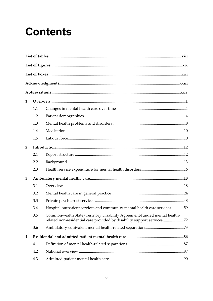# **Contents**

| 1                       |     |                                                                                                                                                   |  |
|-------------------------|-----|---------------------------------------------------------------------------------------------------------------------------------------------------|--|
|                         | 1.1 |                                                                                                                                                   |  |
|                         | 1.2 |                                                                                                                                                   |  |
|                         | 1.3 |                                                                                                                                                   |  |
|                         | 1.4 |                                                                                                                                                   |  |
|                         | 1.5 |                                                                                                                                                   |  |
| $\overline{2}$          |     |                                                                                                                                                   |  |
|                         | 2.1 |                                                                                                                                                   |  |
|                         | 2.2 |                                                                                                                                                   |  |
|                         | 2.3 |                                                                                                                                                   |  |
| 3                       |     |                                                                                                                                                   |  |
|                         | 3.1 |                                                                                                                                                   |  |
|                         | 3.2 |                                                                                                                                                   |  |
|                         | 3.3 |                                                                                                                                                   |  |
|                         | 3.4 | Hospital outpatient services and community mental health care services 59                                                                         |  |
|                         | 3.5 | Commonwealth State/Territory Disability Agreement-funded mental health-<br>related non-residential care provided by disability support services72 |  |
|                         | 3.6 |                                                                                                                                                   |  |
| $\overline{\mathbf{4}}$ |     |                                                                                                                                                   |  |
|                         | 4.1 |                                                                                                                                                   |  |
|                         | 4.2 |                                                                                                                                                   |  |
|                         | 4.3 |                                                                                                                                                   |  |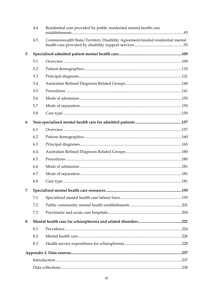|   | 4.4 | Residential care provided by public residential mental health care          |  |
|---|-----|-----------------------------------------------------------------------------|--|
|   | 4.5 | Commonwealth State/Territory Disability Agreement-funded residential mental |  |
| 5 |     |                                                                             |  |
|   | 5.1 |                                                                             |  |
|   | 5.2 |                                                                             |  |
|   | 5.3 |                                                                             |  |
|   | 5.4 |                                                                             |  |
|   | 5.5 |                                                                             |  |
|   | 5.6 |                                                                             |  |
|   | 5.7 |                                                                             |  |
|   | 5.8 |                                                                             |  |
| 6 |     |                                                                             |  |
|   | 6.1 |                                                                             |  |
|   | 6.2 |                                                                             |  |
|   | 6.3 |                                                                             |  |
|   | 6.4 |                                                                             |  |
|   | 6.5 |                                                                             |  |
|   | 6.6 |                                                                             |  |
|   | 6.7 |                                                                             |  |
|   | 6.8 |                                                                             |  |
| 7 |     |                                                                             |  |
|   | 7.1 |                                                                             |  |
|   | 7.2 |                                                                             |  |
|   | 7.3 |                                                                             |  |
| 8 |     |                                                                             |  |
|   | 8.1 |                                                                             |  |
|   | 8.2 |                                                                             |  |
|   | 8.3 |                                                                             |  |
|   |     |                                                                             |  |
|   |     |                                                                             |  |
|   |     |                                                                             |  |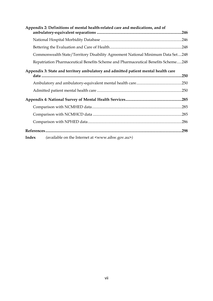| Appendix 2: Definitions of mental health-related care and medications, and of      |      |
|------------------------------------------------------------------------------------|------|
|                                                                                    |      |
|                                                                                    |      |
| Commonwealth State/Territory Disability Agreement National Minimum Data Set248     |      |
| Repatriation Pharmaceutical Benefits Scheme and Pharmaceutical Benefits Scheme248  |      |
| Appendix 3: State and territory ambulatory and admitted patient mental health care |      |
|                                                                                    |      |
|                                                                                    |      |
|                                                                                    |      |
|                                                                                    |      |
|                                                                                    |      |
|                                                                                    |      |
|                                                                                    | .298 |
| Index<br>(available on the Internet at <www.aihw.gov.au>)</www.aihw.gov.au>        |      |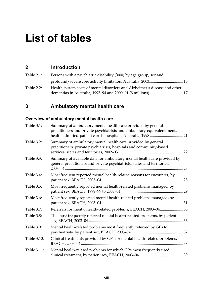# **List of tables**

## **2 Introduction**

| Table $2.1$ : | Persons with a psychiatric disability ('000) by age group, sex and        |  |
|---------------|---------------------------------------------------------------------------|--|
|               |                                                                           |  |
| Table $2.2$ : | Health system costs of mental disorders and Alzheimer's disease and other |  |
|               |                                                                           |  |

# **3 Ambulatory mental health care**

## **Overview of ambulatory mental health care**

| Table 3.1:  | Summary of ambulatory mental health care provided by general<br>practitioners and private psychiatrists and ambulatory-equivalent mental            |    |
|-------------|-----------------------------------------------------------------------------------------------------------------------------------------------------|----|
| Table 3.2:  | Summary of ambulatory mental health care provided by general<br>practitioners, private psychiatrists, hospitals and community-based                 | 22 |
| Table 3.3:  | Summary of available data for ambulatory mental health care provided by<br>general practitioners and private psychiatrists, states and territories, | 23 |
| Table 3.4:  | Most frequent reported mental health-related reasons for encounter, by                                                                              | 28 |
| Table 3.5:  | Most frequently reported mental health-related problems managed, by                                                                                 |    |
| Table 3.6:  | Most frequently reported mental health-related problems managed, by                                                                                 |    |
| Table 3.7:  | Referrals for mental health-related problems, BEACH, 2003-04 35                                                                                     |    |
| Table 3.8:  | The most frequently referred mental health-related problems, by patient                                                                             | 36 |
| Table 3.9:  | Mental health-related problems most frequently referred by GPs to                                                                                   |    |
| Table 3.10: | Clinical treatments provided by GPs for mental health-related problems,                                                                             |    |
| Table 3.11: | Mental health-related problems for which GPs most frequently used                                                                                   |    |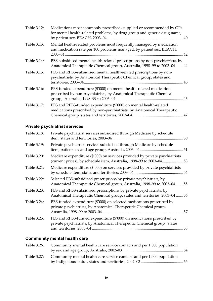| Table 3.12: | Medications most commonly prescribed, supplied or recommended by GPs<br>for mental health-related problems, by drug group and generic drug name,        |
|-------------|---------------------------------------------------------------------------------------------------------------------------------------------------------|
| Table 3.13: | Mental health-related problems most frequently managed by medication<br>and medication rate per 100 problems managed, by patient sex, BEACH,            |
| Table 3.14: | PBS-subsidised mental health-related prescriptions by non-psychiatrists, by<br>Anatomical Therapeutic Chemical group, Australia, 1998-99 to 2003-04  44 |
| Table 3.15: | PBS and RPBS-subsidised mental health-related prescriptions by non-<br>psychiatrists, by Anatomical Therapeutic Chemical group, states and              |
| Table 3.16: | PBS-funded expenditure (\$'000) on mental health-related medications<br>prescribed by non-psychiatrists, by Anatomical Therapeutic Chemical             |
| Table 3.17: | PBS and RPBS-funded expenditure (\$'000) on mental health-related<br>medications prescribed by non-psychiatrists, by Anatomical Therapeutic             |

# **Private psychiatrist services**

| Table 3.18: | Private psychiatrist services subsidised through Medicare by schedule                                                                               |    |
|-------------|-----------------------------------------------------------------------------------------------------------------------------------------------------|----|
| Table 3.19: | Private psychiatrist services subsidised through Medicare by schedule                                                                               |    |
| Table 3.20: | Medicare expenditure (\$'000) on services provided by private psychiatrists<br>(current prices), by schedule item, Australia, 1998-99 to 2003-04 53 |    |
| Table 3.21: | Medicare expenditure (\$'000) on services provided by private psychiatrists                                                                         | 54 |
| Table 3.22: | Selected PBS-subsidised prescriptions by private psychiatrists, by<br>Anatomical Therapeutic Chemical group, Australia, 1998-99 to 2003-04  55      |    |
| Table 3.23: | PBS and RPBS-subsidised prescriptions by private psychiatrists, by<br>Anatomical Therapeutic Chemical group, states and territories, 2003-04  56    |    |
| Table 3.24: | PBS-funded expenditure (\$'000) on selected medications prescribed by<br>private psychiatrists, by Anatomical Therapeutic Chemical group,           | 57 |
| Table 3.25: | PBS and RPBS-funded expenditure (\$'000) on medications prescribed by<br>private psychiatrists, by Anatomical Therapeutic Chemical group, states    | 58 |

# **Community mental health care**

| Table 3.26: | Community mental health care service contacts and per 1,000 population |  |
|-------------|------------------------------------------------------------------------|--|
|             |                                                                        |  |
| Table 3.27: | Community mental health care service contacts and per 1,000 population |  |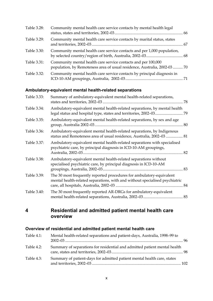| Table 3.28: | Community mental health care service contacts by mental health legal                                                                       |  |
|-------------|--------------------------------------------------------------------------------------------------------------------------------------------|--|
| Table 3.29: | Community mental health care service contacts by marital status, states                                                                    |  |
| Table 3.30: | Community mental health care service contacts and per 1,000 population,                                                                    |  |
| Table 3.31: | Community mental health care service contacts and per 100,000<br>population, by Remoteness area of usual residence, Australia, 2002-03  70 |  |
| Table 3.32: | Community mental health care service contacts by principal diagnosis in                                                                    |  |

## **Ambulatory-equivalent mental health-related separations**

| Table 3.33: | Summary of ambulatory-equivalent mental health-related separations,                                                                                 |    |
|-------------|-----------------------------------------------------------------------------------------------------------------------------------------------------|----|
| Table 3.34: | Ambulatory-equivalent mental health-related separations, by mental health                                                                           |    |
| Table 3.35: | Ambulatory-equivalent mental health-related separations, by sex and age                                                                             |    |
| Table 3.36: | Ambulatory-equivalent mental health-related separations, by Indigenous<br>status and Remoteness area of usual residence, Australia, 2002-03  81     |    |
| Table 3.37: | Ambulatory-equivalent mental health-related separations with specialised<br>psychiatric care, by principal diagnosis in ICD-10-AM groupings,        |    |
| Table 3.38: | Ambulatory-equivalent mental health-related separations without<br>specialised psychiatric care, by principal diagnosis in ICD-10-AM                |    |
| Table 3.39: | The 30 most frequently reported procedures for ambulatory-equivalent<br>mental health-related separations, with and without specialised psychiatric | 84 |
| Table 3.40: | The 30 most frequently reported AR-DRGs for ambulatory-equivalent                                                                                   |    |

## **4 Residential and admitted patient mental health care overview**

#### **Overview of residential and admitted patient mental health care**

| Table $4.1$ : | Mental health-related separations and patient-days, Australia, 1998-99 to |  |
|---------------|---------------------------------------------------------------------------|--|
| Table $4.2$ : | Summary of separations for residential and admitted patient mental health |  |
| Table 4.3:    | Summary of patient-days for admitted patient mental health care, states   |  |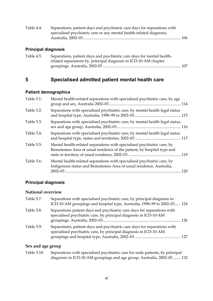| Table 4.4: | Separations, patient-days and psychiatric care days for separations with |  |
|------------|--------------------------------------------------------------------------|--|
|            | specialised psychiatric care or any mental health-related diagnosis,     |  |
|            |                                                                          |  |

#### **Principal diagnosis**

| Table 4.5: | Separations, patient days and psychiatric care days for mental health- |  |
|------------|------------------------------------------------------------------------|--|
|            | related separations by, principal diagnosis in ICD-10-AM chapter       |  |
|            |                                                                        |  |

# **5 Specialised admitted patient mental health care**

#### **Patient demographics**

| Table 5.1: | Mental health-related separations with specialised psychiatric care, by age                                                                            |  |
|------------|--------------------------------------------------------------------------------------------------------------------------------------------------------|--|
| Table 5.2: | Separations with specialised psychiatric care, by mental health legal status                                                                           |  |
| Table 5.3: | Separations with specialised psychiatric care, by mental health legal status,                                                                          |  |
| Table 5.4: | Separations with specialised psychiatric care, by mental health legal status                                                                           |  |
| Table 5.5: | Mental health-related separations with specialised psychiatric care, by<br>Remoteness Area of usual residence of the patient, by hospital type and     |  |
| Table 5.6: | Mental health-related separations with specialised psychiatric care, by<br>Indigenous status and Remoteness Area of usual residence, Australia,<br>120 |  |

## **Principal diagnosis**

#### **National overview**

| Table 5.7: | Separations with specialised psychiatric care, by principal diagnosis in<br>ICD-10-AM groupings and hospital type, Australia, 1998-99 to 2002-03 124 |  |
|------------|------------------------------------------------------------------------------------------------------------------------------------------------------|--|
| Table 5.8: | Separations, patient days and psychiatric care days for separations with<br>specialised psychiatric care, by principal diagnosis in ICD-10-AM        |  |
| Table 5.9: | Separations, patient-days and psychiatric care days for separations with<br>specialised psychiatric care, by principal diagnosis in ICD-10-AM        |  |

## **Sex and age group**

| Table 5.10: | Separations with specialised psychiatric care for male patients, by principal |
|-------------|-------------------------------------------------------------------------------|
|             | diagnosis in ICD-10-AM groupings and age group, Australia, 2002–03  132       |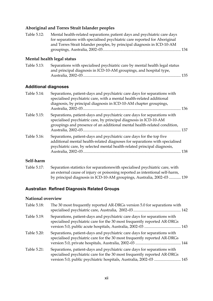# **Aboriginal and Torres Strait Islander peoples**

| Table 5.12:                 | Mental health-related separations, patient days and psychiatric care days<br>for separations with specialised psychiatric care reported for Aboriginal<br>and Torres Strait Islander peoples, by principal diagnosis in ICD-10-AM      |
|-----------------------------|----------------------------------------------------------------------------------------------------------------------------------------------------------------------------------------------------------------------------------------|
|                             | Mental health legal status                                                                                                                                                                                                             |
| Table 5.13:                 | Separations with specialised psychiatric care by mental health legal status<br>and principal diagnosis in ICD-10-AM groupings, and hospital type,                                                                                      |
| <b>Additional diagnoses</b> |                                                                                                                                                                                                                                        |
| Table 5.14:                 | Separations, patient-days and psychiatric care days for separations with<br>specialised psychiatric care, with a mental health-related additional<br>diagnosis, by principal diagnosis in ICD-10-AM chapter groupings,                 |
| Table 5.15:                 | Separations, patient-days and psychiatric care days for separations with<br>specialised psychiatric care, by principal diagnosis in ICD-10-AM<br>groupings and presence of an additional mental health-related condition,              |
| Table 5.16:                 | Separations, patient-days and psychiatric care days for the top five<br>additional mental health-related diagnoses for separations with specialised<br>psychiatric care, by selected mental health-related principal diagnosis,<br>138 |

#### **Self-harm**

| Table 5.17: | Separation statistics for separations with specialised psychiatric care, with |
|-------------|-------------------------------------------------------------------------------|
|             | an external cause of injury or poisoning reported as intentional self-harm,   |
|             | by principal diagnosis in ICD-10-AM groupings, Australia, 2002-03  139        |

## **Australian Refined Diagnosis Related Groups**

#### **National overview**

| Table 5.18: | The 30 most frequently reported AR-DRGs version 5.0 for separations with                                                                                                                                                   |  |
|-------------|----------------------------------------------------------------------------------------------------------------------------------------------------------------------------------------------------------------------------|--|
| Table 5.19: | Separations, patient-days and psychiatric care days for separations with<br>specialised psychiatric care for the 30 most frequently reported AR-DRGs                                                                       |  |
| Table 5.20: | Separations, patient-days and psychiatric care days for separations with<br>specialised psychiatric care for the 30 most frequently reported AR-DRGs                                                                       |  |
| Table 5.21: | Separations, patient-days and psychiatric care days for separations with<br>specialised psychiatric care for the 30 most frequently reported AR-DRGs<br>version 5.0, public psychiatric hospitals, Australia, 2002-03  145 |  |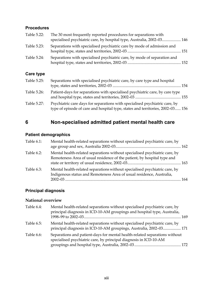#### **Procedures**

| Table 5.22: | The 30 most frequently reported procedures for separations with          |  |
|-------------|--------------------------------------------------------------------------|--|
|             | specialised psychiatric care, by hospital type, Australia, 2002-03 146   |  |
| Table 5.23: | Separations with specialised psychiatric care by mode of admission and   |  |
| Table 5.24: | Separations with specialised psychiatric care, by mode of separation and |  |

## **Care type**

| Table 5.25: | Separations with specialised psychiatric care, by care type and hospital                                                                                      |  |
|-------------|---------------------------------------------------------------------------------------------------------------------------------------------------------------|--|
| Table 5.26: | Patient-days for separations with specialised psychiatric care, by care type                                                                                  |  |
| Table 5.27: | Psychiatric care days for separations with specialised psychiatric care, by<br>type of episode of care and hospital type, states and territories, 2002-03 156 |  |

# **6 Non-specialised admitted patient mental health care**

#### **Patient demographics**

| Table 6.1: | Mental health-related separations without specialised psychiatric care, by                                                                            |  |
|------------|-------------------------------------------------------------------------------------------------------------------------------------------------------|--|
| Table 6.2: | Mental health-related separations without specialised psychiatric care, by<br>Remoteness Area of usual residence of the patient, by hospital type and |  |
| Table 6.3: | Mental health-related separations without specialised psychiatric care, by<br>Indigenous status and Remoteness Area of usual residence, Australia,    |  |

# **Principal diagnosis**

#### **National overview**

| Table 6.4: | Mental health-related separations without specialised psychiatric care, by<br>principal diagnosis in ICD-10-AM groupings and hospital type, Australia, |  |
|------------|--------------------------------------------------------------------------------------------------------------------------------------------------------|--|
|            |                                                                                                                                                        |  |
| Table 6.5: | Mental health-related separations without specialised psychiatric care, by<br>principal diagnosis in ICD-10-AM groupings, Australia, 2002-03 171       |  |
| Table 6.6: | Separations and patient-days for mental health-related separations without<br>specialised psychiatric care, by principal diagnosis in ICD-10-AM        |  |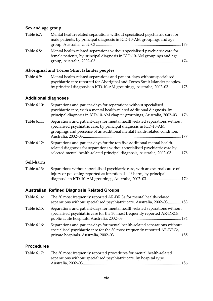## **Sex and age group**

| Table 6.7: | Mental health-related separations without specialised psychiatric care for                                                                           |  |
|------------|------------------------------------------------------------------------------------------------------------------------------------------------------|--|
|            | male patients, by principal diagnosis in ICD-10-AM groupings and age                                                                                 |  |
|            |                                                                                                                                                      |  |
| Table 6.8: | Mental health-related separations without specialised psychiatric care for<br>female patients, by principal diagnosis in ICD-10-AM groupings and age |  |
|            |                                                                                                                                                      |  |

# **Aboriginal and Torres Strait Islander peoples**

| Table 6.9: | Mental health-related separations and patient-days without specialised       |
|------------|------------------------------------------------------------------------------|
|            | psychiatric care reported for Aboriginal and Torres Strait Islander peoples, |
|            | by principal diagnosis in ICD-10-AM groupings, Australia, 2002-03  175       |

## **Additional diagnoses**

| Table 6.10: | Separations and patient-days for separations without specialised<br>psychiatric care, with a mental health-related additional diagnosis, by<br>principal diagnosis in ICD-10-AM chapter groupings, Australia, 2002-03  176          |
|-------------|-------------------------------------------------------------------------------------------------------------------------------------------------------------------------------------------------------------------------------------|
| Table 6.11: | Separations and patient-days for mental health-related separations without<br>specialised psychiatric care, by principal diagnosis in ICD-10-AM<br>groupings and presence of an additional mental health-related condition,<br>177  |
| Table 6.12: | Separations and patient-days for the top five additional mental health-<br>related diagnoses for separations without specialised psychiatric care by<br>selected mental health-related principal diagnosis, Australia, 2002-03  178 |

#### **Self-harm**

| Table 6.13: | Separations without specialised psychiatric care, with an external cause of |  |
|-------------|-----------------------------------------------------------------------------|--|
|             | injury or poisoning reported as intentional self-harm, by principal         |  |
|             |                                                                             |  |

## **Australian Refined Diagnosis Related Groups**

| Table 6.14: | The 30 most frequently reported AR-DRGs for mental health-related<br>separations without specialised psychiatric care, Australia, 2002-03 183           |  |
|-------------|---------------------------------------------------------------------------------------------------------------------------------------------------------|--|
| Table 6.15: | Separations and patient-days for mental health-related separations without<br>specialised psychiatric care for the 30 most frequently reported AR-DRGs, |  |
| Table 6.16: | Separations and patient-days for mental health-related separations without<br>specialised psychiatric care for the 30 most frequently reported AR-DRGs, |  |

#### **Procedures**

| The 30 most frequently reported procedures for mental health-related |  |
|----------------------------------------------------------------------|--|
| separations without specialised psychiatric care, by hospital type,  |  |
|                                                                      |  |
|                                                                      |  |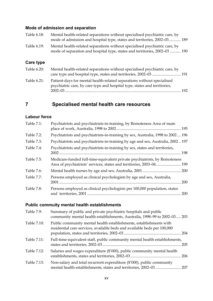## **Mode of admission and separation**

| Table 6.18: | Mental health-related separations without specialised psychiatric care, by                                                                               |
|-------------|----------------------------------------------------------------------------------------------------------------------------------------------------------|
|             | mode of admission and hospital type, states and territories, 2002–03 189                                                                                 |
| Table 6.19: | Mental health-related separations without specialised psychiatric care, by<br>mode of separation and hospital type, states and territories, 2002-03  190 |

#### **Care type**

| Table 6.20: | Mental health-related separations without specialised psychiatric care, by |       |
|-------------|----------------------------------------------------------------------------|-------|
|             |                                                                            |       |
| Table 6.21: | Patient-days for mental health-related separations without specialised     |       |
|             | psychiatric care, by care type and hospital type, states and territories,  |       |
|             |                                                                            | - 192 |

# **7 Specialised mental health care resources**

#### **Labour force**

| Table 7.1: | Psychiatrists and psychiatrists-in-training, by Remoteness Area of main                                                                           |     |
|------------|---------------------------------------------------------------------------------------------------------------------------------------------------|-----|
| Table 7.2: | Psychiatrists and psychiatrists-in-training by sex, Australia, 1998 to 2002 196                                                                   |     |
| Table 7.3: | Psychiatrists and psychiatrists-in-training by age and sex, Australia, 2002197                                                                    |     |
| Table 7.4: | Psychiatrists and psychiatrists-in-training by sex, states and territories,                                                                       | 198 |
| Table 7.5: | Medicare-funded full-time-equivalent private psychiatrists, by Remoteness<br>Area of psychiatrists' services, states and territories, 2003-04 199 |     |
| Table 7.6: |                                                                                                                                                   |     |
| Table 7.7: | Persons employed as clinical psychologists by age and sex, Australia,                                                                             | 200 |
| Table 7.8: | Persons employed as clinical psychologists per 100,000 population, states                                                                         | 200 |

#### **Public commuity mental health establishments**

| Table 7.9:  | Summary of public and private psychiatric hospitals and public<br>community mental health establishments, Australia, 1998-99 to 2002-03 203    |  |
|-------------|------------------------------------------------------------------------------------------------------------------------------------------------|--|
| Table 7.10: | Public community mental health establishments, establishments with<br>residential care services, available beds and available beds per 100,000 |  |
| Table 7.11: | Full-time-equivalent staff, public community mental health establishments,                                                                     |  |
| Table 7.12: | Salaries and wages expenditure (\$'000), public community mental health                                                                        |  |
| Table 7.13: | Non-salary and total recurrent expenditure (\$'000), public community                                                                          |  |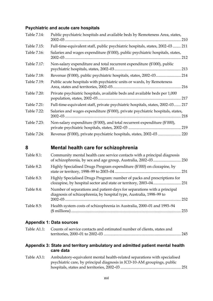## **Psychiatric and acute care hospitals**

| Table 7.14: | Public psychiatric hospitals and available beds by Remoteness Area, states,            |
|-------------|----------------------------------------------------------------------------------------|
| Table 7.15: | Full-time-equivalent staff, public psychiatric hospitals, states, 2002-03  211         |
| Table 7.16: | Salaries and wages expenditure (\$'000), public psychiatric hospitals, states,<br>212  |
| Table 7.17: | Non-salary expenditure and total recurrent expenditure (\$'000), public<br>213         |
| Table 7.18: |                                                                                        |
| Table 7.19: | Public acute hospitals with psychiatric units or wards, by Remoteness<br>216           |
| Table 7.20: | Private psychiatric hospitals, available beds and available beds per 1,000<br>217      |
| Table 7.21: | Full-time-equivalent staff, private psychiatric hospitals, states, 2002-03 217         |
| Table 7.22: | Salaries and wages expenditure (\$'000), private psychiatric hospitals, states,<br>218 |
| Table 7.23: | Non-salary expenditure (\$'000), and total recurrent expenditure (\$'000),<br>219      |
| Table 7.24: |                                                                                        |

# **8 Mental health care for schizophrenia**

| Table 8.1: | Community mental health care service contacts with a principal diagnosis                                                                       |     |
|------------|------------------------------------------------------------------------------------------------------------------------------------------------|-----|
| Table 8.2: | Highly Specialised Drugs Program expenditure (\$'000) on clozapine, by                                                                         |     |
| Table 8.3: | Highly Specialised Drugs Program: number of packs and prescriptions for                                                                        |     |
| Table 8.4: | Number of separations and patient-days for separations with a principal<br>diagnosis of schizophrenia, by hospital type, Australia, 1998-99 to |     |
| Table 8.5: | Health system costs of schizophrenia in Australia, 2000-01 and 1993-94                                                                         | 233 |

#### **Appendix 1: Data sources**

| Table A1.1: Counts of service contacts and estimated number of clients, states and |  |
|------------------------------------------------------------------------------------|--|
|                                                                                    |  |

#### **Appendix 3: State and territory ambulatory and admitted patient mental health care data**

| Table A3.1: | Ambulatory-equivalent mental health-related separations with specialised |  |
|-------------|--------------------------------------------------------------------------|--|
|             | psychiatric care, by principal diagnosis in ICD-10-AM groupings, public  |  |
|             |                                                                          |  |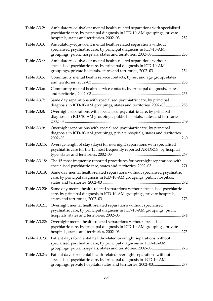| Table A3.2:  | Ambulatory-equivalent mental health-related separations with specialised<br>psychiatric care, by principal diagnosis in ICD-10-AM groupings, private                                                           |     |
|--------------|----------------------------------------------------------------------------------------------------------------------------------------------------------------------------------------------------------------|-----|
| Table A3.3:  | Ambulatory-equivalent mental health-related separations without<br>specialised psychiatric care, by principal diagnosis in ICD-10-AM<br>groupings, public hospitals, states and territories, 2002-03 253       |     |
| Table A3.4:  | Ambulatory-equivalent mental health-related separations without<br>specialised psychiatric care, by principal diagnosis in ICD-10-AM<br>groupings, private hospitals, states and territories, 2002-03 254      |     |
| Table A3.5:  | Community mental health service contacts, by sex and age group, states                                                                                                                                         | 255 |
| Table A3.6:  | Community mental health service contacts, by principal diagnosis, states                                                                                                                                       | 256 |
| Table A3.7:  | Same day separations with specialised psychiatric care, by principal<br>diagnosis in ICD-10-AM groupings, states and territories, 2002-03 258                                                                  |     |
| Table A3.8:  | Overnight separations with specialised psychiatric care, by principal<br>diagnosis in ICD-10-AM groupings, public hospitals, states and territories,                                                           | 259 |
| Table A3.9:  | Overnight separations with specialised psychiatric care, by principal<br>diagnosis in ICD-10-AM groupings, private hospitals, states and territories,                                                          | 260 |
| Table A3.15: | Average length of stay (days) for overnight separations with specialised<br>psychiatric care for the 15 most frequently reported AR-DRGs, by hospital                                                          |     |
| Table A3.18: | The 15 most frequently reported procedures for overnight separations with                                                                                                                                      |     |
| Table A3.19: | Same day mental health-related separations without specialised psychiatric<br>care, by principal diagnosis in ICD-10-AM groupings, public hospitals,                                                           |     |
| Table A3.20: | Same day mental health-related separations without specialised psychiatric<br>care, by principal diagnosis in ICD-10-AM groupings, private hospitals,                                                          |     |
| Table A3.21: | Overnight mental health-related separations without specialised<br>psychiatric care, by principal diagnosis in ICD-10-AM groupings, public                                                                     |     |
| Table A3.22: | Overnight mental health-related separations without specialised<br>psychiatric care, by principal diagnosis in ICD-10-AM groupings, private                                                                    |     |
| Table A3.23: | Patient days for mental health-related overnight separations without<br>specialised psychiatric care, by principal diagnosis in ICD-10-AM                                                                      |     |
| Table A3.24: | Patient days for mental health-related overnight separations without<br>specialised psychiatric care, by principal diagnosis in ICD-10-AM<br>groupings, private hospitals, states and territories, 2002-03 277 |     |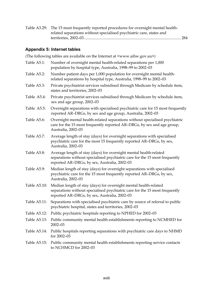|  | Table A3.29: The 15 most frequently reported procedures for overnight mental health- |  |
|--|--------------------------------------------------------------------------------------|--|
|  | related separations without specialised psychiatric care, states and                 |  |
|  |                                                                                      |  |

## **Appendix 5: Internet tables**

*(*The following tables are available on the Internet at <www.aihw.gov.au>*)*

| Table A5.1:  | Number of overnight mental health-related separations per 1,000<br>population by hospital type, Australia, 1998-99 to 2002-03                                                                    |
|--------------|--------------------------------------------------------------------------------------------------------------------------------------------------------------------------------------------------|
| Table A5.2:  | Number patient days per 1,000 population for overnight mental health-<br>related separations by hospital type, Australia, 1998-99 to 2002-03                                                     |
| Table A5.3:  | Private psychiatrist services subsidised through Medicare by schedule item,<br>states and territories, 2002-03                                                                                   |
| Table A5.4:  | Private psychiatrist services subsidised through Medicare by schedule item,<br>sex and age group, 2002-03                                                                                        |
| Table A5.5:  | Overnight separations with specialised psychiatric care for 15 most frequently<br>reported AR-DRGs, by sex and age group, Australia, 2002-03                                                     |
| Table A5.6:  | Overnight mental health-related separations without specialised psychiatric<br>care for the 15 most frequently reported AR-DRGs, by sex and age group,<br>Australia, 2002-03                     |
| Table A5.7:  | Average length of stay (days) for overnight separations with specialised<br>psychiatric care for the most 15 frequently reported AR-DRGs, by sex,<br>Australia, 2002-03                          |
| Table A5.8:  | Average length of stay (days) for overnight mental health-related<br>separations without specialised psychiatric care for the 15 most frequently<br>reported AR-DRGs, by sex, Australia, 2002-03 |
| Table A5.9:  | Median length of stay (days) for overnight separations with specialised<br>psychiatric care for the 15 most frequently reported AR-DRGs, by sex,<br>Australia, 2002-03                           |
| Table A5.10: | Median length of stay (days) for overnight mental health-related<br>separations without specialised psychiatric care for the 15 most frequently<br>reported AR-DRGs, by sex, Australia, 2002-03  |
| Table A5.11: | Separations with specialised psychiatric care by source of referral to public<br>psychiatric hospital, states and territories, 2002-03                                                           |
| Table A5.12: | Public psychiatric hospitals reporting to NPHED for 2002-03                                                                                                                                      |
|              | Table A5.13: Public community mental health establishments reporting to NCMHED for<br>$2002 - 03$                                                                                                |
| Table A5.14: | Public hospitals reporting separations with psychiatric care days to NHMD<br>for 2002-03                                                                                                         |
| Table A5.15: | Public community mental health establishments reporting service contacts<br>to NCHMCD for 2002-03                                                                                                |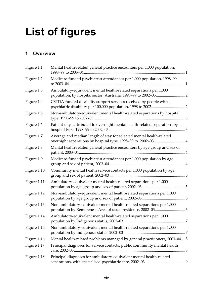# **List of figures**

## **1 Overview**

| Figure 1.1:  | Mental health-related general practice encounters per 1,000 population,                                                              |  |
|--------------|--------------------------------------------------------------------------------------------------------------------------------------|--|
| Figure 1.2:  | Medicare-funded psychiatrist attendances per 1,000 population, 1998-99                                                               |  |
| Figure 1.3:  | Ambulatory-equivalent mental health-related separations per 1,000                                                                    |  |
| Figure 1.4:  | CSTDA-funded disability support services received by people with a                                                                   |  |
| Figure 1.5:  | Non-ambulatory-equivalent mental health-related separations by hospital                                                              |  |
| Figure 1.6:  | Patient-days attributed to overnight mental health-related separations by                                                            |  |
| Figure 1.7:  | Average and median length of stay for selected mental health-related<br>overnight separations by hospital type, 1998-99 to 2002-03 4 |  |
| Figure 1.8:  | Mental health-related general practice encounters by age group and sex of                                                            |  |
| Figure 1.9:  | Medicare-funded psychiatrist attendances per 1,000 population by age                                                                 |  |
| Figure 1.10: | Community mental health service contacts per 1,000 population by age                                                                 |  |
| Figure 1.11: | Ambulatory-equivalent mental health-related separations per 1,000                                                                    |  |
| Figure 1.12: | Non-ambulatory-equivalent mental health-related separations per 1,000                                                                |  |
| Figure 1.13: | Non-ambulatory-equivalent mental health-related separations per 1,000<br>population by Remoteness Area of usual residence, 2002-03 6 |  |
| Figure 1.14: | Ambulatory-equivalent mental health-related separations per 1,000                                                                    |  |
| Figure 1.15: | Non-ambulatory-equivalent mental health-related separations per 1,000                                                                |  |
| Figure 1.16: | Mental health-related problems managed by general practitioners, 2003-04 8                                                           |  |
| Figure 1.17: | Principal diagnoses for service contacts, public community mental health                                                             |  |
| Figure 1.18: | Principal diagnoses for ambulatory-equivalent mental health-related                                                                  |  |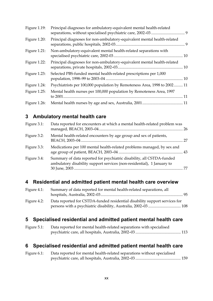| Figure 1.19:    | Principal diagnoses for ambulatory-equivalent mental health-related      |  |
|-----------------|--------------------------------------------------------------------------|--|
| Figure 1.20:    | Principal diagnoses for non-ambulatory-equivalent mental health-related  |  |
| Figure 1.21:    | Non-ambulatory-equivalent mental health-related separations with         |  |
| Figure 1.22:    | Principal diagnoses for non-ambulatory-equivalent mental health-related  |  |
| Figure 1.23:    | Selected PBS-funded mental health-related prescriptions per 1,000        |  |
| Figure 1.24:    | Psychiatrists per 100,000 population by Remoteness Area, 1998 to 2002 11 |  |
| Figure $1.25$ : | Mental health nurses per 100,000 population by Remoteness Area, 1997     |  |
| Figure 1.26:    |                                                                          |  |

# **3 Ambulatory mental health care**

| Figure 3.1: | Data reported for encounters at which a mental health-related problem was                                                                       |  |
|-------------|-------------------------------------------------------------------------------------------------------------------------------------------------|--|
| Figure 3.2: | Mental health-related encounters by age group and sex of patients,                                                                              |  |
| Figure 3.3: | Medications per 100 mental health-related problems managed, by sex and                                                                          |  |
| Figure 3.4: | Summary of data reported for psychiatric disability, all CSTDA-funded<br>ambulatory disability support services (non-residential), 1 January to |  |

## **4 Residential and admitted patient mental health care overview**

| Data reported for CSTDA-funded residential disability support services for |                                                                     |
|----------------------------------------------------------------------------|---------------------------------------------------------------------|
|                                                                            | Summary of data reported for mental health-related separations, all |

# **5 Specialised residential and admitted patient mental health care**

| Figure 5.1: | Data reported for mental health-related separations with specialised |  |
|-------------|----------------------------------------------------------------------|--|
|             |                                                                      |  |

# **6 Specialised residential and admitted patient mental health care**

| Figure 6.1: | Data reported for mental health-related separations without specialised |  |
|-------------|-------------------------------------------------------------------------|--|
|             |                                                                         |  |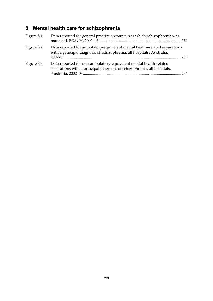# **8 Mental health care for schizophrenia**

| Figure $8.1$ : | Data reported for general practice encounters at which schizophrenia was                                                                            |  |
|----------------|-----------------------------------------------------------------------------------------------------------------------------------------------------|--|
| Figure $8.2$ : | Data reported for ambulatory-equivalent mental health-related separations<br>with a principal diagnosis of schizophrenia, all hospitals, Australia, |  |
| Figure 8.3:    | Data reported for non-ambulatory-equivalent mental health-related<br>separations with a principal diagnosis of schizophrenia, all hospitals,        |  |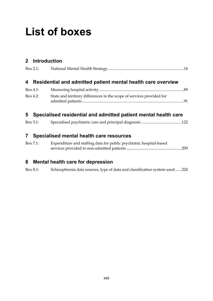# **List of boxes**

## **2 Introduction**

| $Box 2.1$ :    |                                                                       |  |
|----------------|-----------------------------------------------------------------------|--|
| $\overline{4}$ | Residential and admitted patient mental health care overview          |  |
| $Box 4.1$ :    |                                                                       |  |
| $Box 4.2$ :    | State and territory differences in the scope of services provided for |  |

# **5 Specialised residential and admitted patient mental health care**

| $Box 5.1$ : |  |  |  |
|-------------|--|--|--|
|             |  |  |  |

# **7 Specialised mental health care resources**

| Box 7.1: | Expenditure and staffing data for public psychiatric hospital-based |  |  |  |  |
|----------|---------------------------------------------------------------------|--|--|--|--|
|          |                                                                     |  |  |  |  |

#### **8 Mental health care for depression**

Box 8.1: Schizophrenia data sources, type of data and classification system used.......224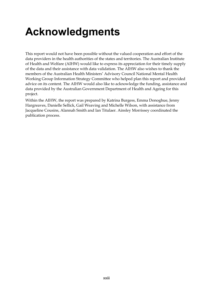# **Acknowledgments**

This report would not have been possible without the valued cooperation and effort of the data providers in the health authorities of the states and territories. The Australian Institute of Health and Welfare (AIHW) would like to express its appreciation for their timely supply of the data and their assistance with data validation. The AIHW also wishes to thank the members of the Australian Health Ministers' Advisory Council National Mental Health Working Group Information Strategy Committee who helped plan this report and provided advice on its content. The AIHW would also like to acknowledge the funding, assistance and data provided by the Australian Government Department of Health and Ageing for this project.

Within the AIHW, the report was prepared by Katrina Burgess, Emma Donoghue, Jenny Hargreaves, Danielle Sellick, Gail Weaving and Michelle Wilson, with assistance from Jacqueline Cousins, Alannah Smith and Ian Titulaer. Ainsley Morrissey coordinated the publication process.